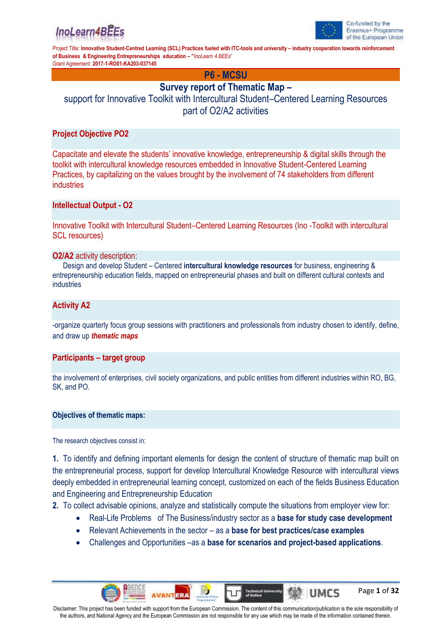



Page **1** of **32**

Project Title: **Innovative Student-Centred Learning (SCL) Practices fueled with ITC-tools and university – industry cooperation towards reinforcement of Business & Engineering Entrepreneurships education – "***InoLearn 4 BEEs*" Grant Agreement: **2017-1-RO01-KA203-037145**

**P6 - MCSU**

## **Survey report of Thematic Map –**

support for Innovative Toolkit with Intercultural Student–Centered Learning Resources part of O2/A2 activities

## **Project Objective PO2**

Capacitate and elevate the students' innovative knowledge, entrepreneurship & digital skills through the toolkit with intercultural knowledge resources embedded in Innovative Student-Centered Learning Practices, by capitalizing on the values brought by the involvement of 74 stakeholders from different industries

## **Intellectual Output - O2**

Innovative Toolkit with Intercultural Student–Centered Learning Resources (Ino -Toolkit with intercultural SCL resources)

#### **O2/A2** activity description:

Design and develop Student – Centered **intercultural knowledge resources** for business, engineering & entrepreneurship education fields, mapped on entrepreneurial phases and built on different cultural contexts and industries

## **Activity A2**

-organize quarterly focus group sessions with practitioners and professionals from industry chosen to identify, define, and draw up *thematic maps*

### **Participants – target group**

the involvement of enterprises, civil society organizations, and public entities from different industries within RO, BG, SK, and PO.

#### **Objectives of thematic maps:**

The research objectives consist in:

**1.** To identify and defining important elements for design the content of structure of thematic map built on the entrepreneurial process, support for develop Intercultural Knowledge Resource with intercultural views deeply embedded in entrepreneurial learning concept, customized on each of the fields Business Education and Engineering and Entrepreneurship Education

**2.** To collect advisable opinions, analyze and statistically compute the situations from employer view for:

- Real-Life Problems of The Business/industry sector as a **base for study case development**
- Relevant Achievements in the sector as a **base for best practices/case examples**
- Challenges and Opportunities –as a **base for scenarios and project-based applications**.

**AVANTER** 

613

**UMCS** 

Technical Univers<br>of Knšice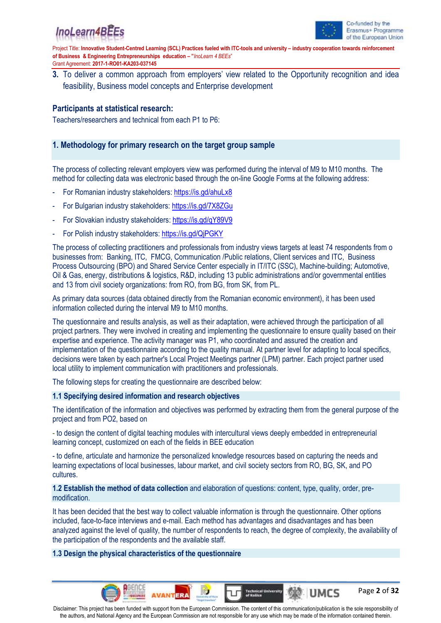



Page **2** of **32**

Project Title: **Innovative Student-Centred Learning (SCL) Practices fueled with ITC-tools and university – industry cooperation towards reinforcement of Business & Engineering Entrepreneurships education – "***InoLearn 4 BEEs*" Grant Agreement: **2017-1-RO01-KA203-037145**

**3.** To deliver a common approach from employers' view related to the Opportunity recognition and idea feasibility, Business model concepts and Enterprise development

### **Participants at statistical research:**

Teachers/researchers and technical from each P1 to P6:

## **1. Methodology for primary research on the target group sample**

The process of collecting relevant employers view was performed during the interval of M9 to M10 months. The method for collecting data was electronic based through the on-line Google Forms at the following address:

- For Romanian industry stakeholders:<https://is.gd/ahuLx8>
- For Bulgarian industry stakeholders: <https://is.gd/7X8ZGu>
- For Slovakian industry stakeholders:<https://is.gd/qY89V9>
- For Polish industry stakeholders: https://is.gd/QiPGKY

The process of collecting practitioners and professionals from industry views targets at least 74 respondents from o businesses from: Banking, ITC, FMCG, Communication /Public relations, Client services and ITC, Business Process Outsourcing (BPO) and Shared Service Center especially in IT/ITC (SSC), Machine-building; Automotive, Oil & Gas, energy, distributions & logistics, R&D, including 13 public administrations and/or governmental entities and 13 from civil society organizations: from RO, from BG, from SK, from PL.

As primary data sources (data obtained directly from the Romanian economic environment), it has been used information collected during the interval M9 to M10 months.

The questionnaire and results analysis, as well as their adaptation, were achieved through the participation of all project partners. They were involved in creating and implementing the questionnaire to ensure quality based on their expertise and experience. The activity manager was P1, who coordinated and assured the creation and implementation of the questionnaire according to the quality manual. At partner level for adapting to local specifics, decisions were taken by each partner's Local Project Meetings partner (LPM) partner. Each project partner used local utility to implement communication with practitioners and professionals.

The following steps for creating the questionnaire are described below:

#### **1.1 Specifying desired information and research objectives**

The identification of the information and objectives was performed by extracting them from the general purpose of the project and from PO2, based on

- to design the content of digital teaching modules with intercultural views deeply embedded in entrepreneurial learning concept, customized on each of the fields in BEE education

- to define, articulate and harmonize the personalized knowledge resources based on capturing the needs and learning expectations of local businesses, labour market, and civil society sectors from RO, BG, SK, and PO cultures.

**1.2 Establish the method of data collection** and elaboration of questions: content, type, quality, order, premodification.

It has been decided that the best way to collect valuable information is through the questionnaire. Other options included, face-to-face interviews and e-mail. Each method has advantages and disadvantages and has been analyzed against the level of quality, the number of respondents to reach, the degree of complexity, the availability of the participation of the respondents and the available staff.

#### **1.3 Design the physical characteristics of the questionnaire**

**AVANTERA** 

Disclaimer: This project has been funded with support from the European Commission. The content of this communication/publication is the sole responsibility of the authors, and National Agency and the European Commission are not responsible for any use which may be made of the information contained therein.

610

**UMCS** 

**Technical University**<br>of Košice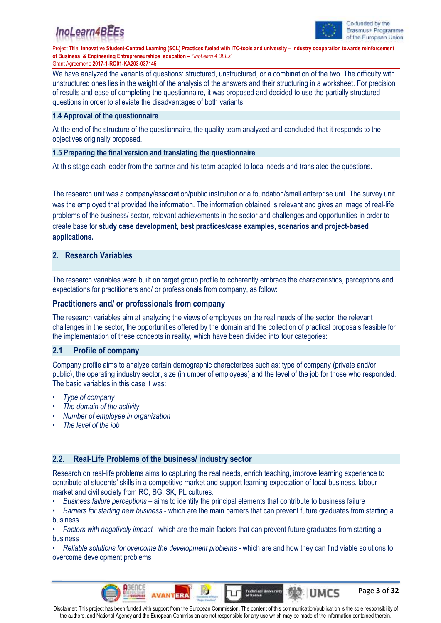



Page **3** of **32**

Project Title: Innovative Student-Centred Learning (SCL) Practices fueled with ITC-tools and university - industry cooperation towards reinforcement **of Business & Engineering Entrepreneurships education – "***InoLearn 4 BEEs*" Grant Agreement: **2017-1-RO01-KA203-037145**

We have analyzed the variants of questions: structured, unstructured, or a combination of the two. The difficulty with unstructured ones lies in the weight of the analysis of the answers and their structuring in a worksheet. For precision of results and ease of completing the questionnaire, it was proposed and decided to use the partially structured questions in order to alleviate the disadvantages of both variants.

#### **1.4 Approval of the questionnaire**

At the end of the structure of the questionnaire, the quality team analyzed and concluded that it responds to the objectives originally proposed.

#### **1.5 Preparing the final version and translating the questionnaire**

At this stage each leader from the partner and his team adapted to local needs and translated the questions.

The research unit was a company/association/public institution or a foundation/small enterprise unit. The survey unit was the employed that provided the information. The information obtained is relevant and gives an image of real-life problems of the business/ sector, relevant achievements in the sector and challenges and opportunities in order to create base for **study case development, best practices/case examples, scenarios and project-based applications.**

#### **2. Research Variables**

The research variables were built on target group profile to coherently embrace the characteristics, perceptions and expectations for practitioners and/ or professionals from company, as follow:

#### **Practitioners and/ or professionals from company**

The research variables aim at analyzing the views of employees on the real needs of the sector, the relevant challenges in the sector, the opportunities offered by the domain and the collection of practical proposals feasible for the implementation of these concepts in reality, which have been divided into four categories:

#### **2.1 Profile of company**

Company profile aims to analyze certain demographic characterizes such as: type of company (private and/or public), the operating industry sector, size (in umber of employees) and the level of the job for those who responded. The basic variables in this case it was:

- *Type of company*
- *• The domain of the activity*
- *• Number of employee in organization*
- *• The level of the job*

#### **2.2. Real-Life Problems of the business/ industry sector**

**AVANTERA** 

Research on real-life problems aims to capturing the real needs, enrich teaching, improve learning experience to contribute at students' skills in a competitive market and support learning expectation of local business, labour market and civil society from RO, BG, SK, PL cultures.

• *Business failure perceptions* – aims to identify the principal elements that contribute to business failure

• *Barriers for starting new business* - which are the main barriers that can prevent future graduates from starting a business

• *Factors with negatively impact* - which are the main factors that can prevent future graduates from starting a business

• *Reliable solutions for overcome the development problems* - which are and how they can find viable solutions to overcome development problems

Disclaimer: This project has been funded with support from the European Commission. The content of this communication/publication is the sole responsibility of the authors, and National Agency and the European Commission are not responsible for any use which may be made of the information contained therein.

616

**UMCS** 

**Technical University**<br>of Knifes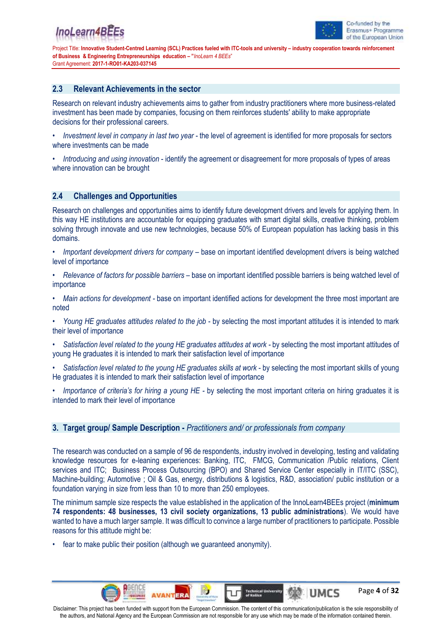

Page **4** of **32**

Project Title: **Innovative Student-Centred Learning (SCL) Practices fueled with ITC-tools and university – industry cooperation towards reinforcement of Business & Engineering Entrepreneurships education – "***InoLearn 4 BEEs*" Grant Agreement: **2017-1-RO01-KA203-037145**

#### **2.3 Relevant Achievements in the sector**

Research on relevant industry achievements aims to gather from industry practitioners where more business-related investment has been made by companies, focusing on them reinforces students' ability to make appropriate decisions for their professional careers.

- *Investment level in company in last two year* the level of agreement is identified for more proposals for sectors where investments can be made
- *Introducing and using innovation* identify the agreement or disagreement for more proposals of types of areas where innovation can be brought

#### **2.4 Challenges and Opportunities**

Research on challenges and opportunities aims to identify future development drivers and levels for applying them. In this way HE institutions are accountable for equipping graduates with smart digital skills, creative thinking, problem solving through innovate and use new technologies, because 50% of European population has lacking basis in this domains.

- *Important development drivers for company –* base on important identified development drivers is being watched level of importance
- *• Relevance of factors for possible barriers –* base on important identified possible barriers is being watched level of importance
- *• Main actions for development -* base on important identified actions for development the three most important are noted
- *• Young HE graduates attitudes related to the job* by selecting the most important attitudes it is intended to mark their level of importance
- *• Satisfaction level related to the young HE graduates attitudes at work -* by selecting the most important attitudes of young He graduates it is intended to mark their satisfaction level of importance
- *• Satisfaction level related to the young HE graduates skills at work* by selecting the most important skills of young He graduates it is intended to mark their satisfaction level of importance
- *• Importance of criteria's for hiring a young HE -* by selecting the most important criteria on hiring graduates it is intended to mark their level of importance

### **3. Target group/ Sample Description -** *Practitioners and/ or professionals from company*

The research was conducted on a sample of 96 de respondents, industry involved in developing, testing and validating knowledge resources for e-leaning experiences: Banking, ITC, FMCG, Communication /Public relations, Client services and ITC; Business Process Outsourcing (BPO) and Shared Service Center especially in IT/ITC (SSC), Machine-building; Automotive ; Oil & Gas, energy, distributions & logistics, R&D, association/ public institution or a foundation varying in size from less than 10 to more than 250 employees.

The minimum sample size respects the value established in the application of the InnoLearn4BEEs project (**minimum 74 respondents: 48 businesses, 13 civil society organizations, 13 public administrations**). We would have wanted to have a much larger sample. It was difficult to convince a large number of practitioners to participate. Possible reasons for this attitude might be:

fear to make public their position (although we guaranteed anonymity).

**AVANTERA** 

610

**UMCS** 

**Technical University**<br>of Kniles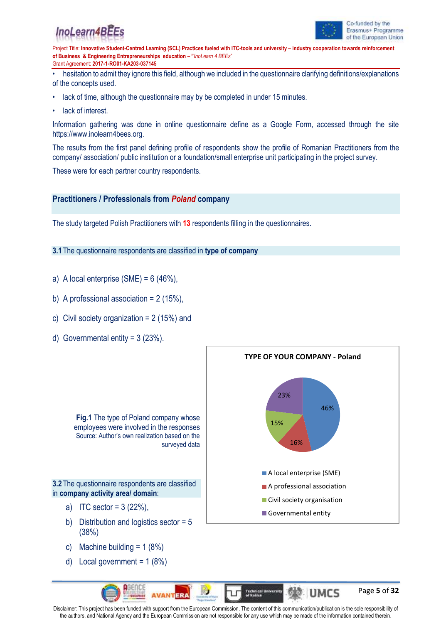



Page **5** of **32**

Project Title: Innovative Student-Centred Learning (SCL) Practices fueled with ITC-tools and university - industry cooperation towards reinforcement **of Business & Engineering Entrepreneurships education – "***InoLearn 4 BEEs*" Grant Agreement: **2017-1-RO01-KA203-037145**

• hesitation to admit they ignore this field, although we included in the questionnaire clarifying definitions/explanations of the concepts used.

- lack of time, although the questionnaire may by be completed in under 15 minutes.
- lack of interest.

Information gathering was done in online questionnaire define as a Google Form, accessed through the site https://www.inolearn4bees.org.

The results from the first panel defining profile of respondents show the profile of Romanian Practitioners from the company/ association/ public institution or a foundation/small enterprise unit participating in the project survey.

These were for each partner country respondents.

#### **Practitioners / Professionals from** *Poland* **company**

The study targeted Polish Practitioners with **13** respondents filling in the questionnaires.

#### **3.1** The questionnaire respondents are classified in **type of company**

- a) A local enterprise  $(SME) = 6 (46\%).$
- b) A professional association =  $2(15\%)$ ,
- c) Civil society organization = 2 (15%) and
- d) Governmental entity = 3 (23%).



- c) Machine building  $= 1 (8\%)$
- d) Local government =  $1 (8%)$

AGENCI

**AVANTERA** 

Disclaimer: This project has been funded with support from the European Commission. The content of this communication/publication is the sole responsibility of the authors, and National Agency and the European Commission are not responsible for any use which may be made of the information contained therein.

**GIO** 

**IUMCS** 

**Technical University**<br>of Knšice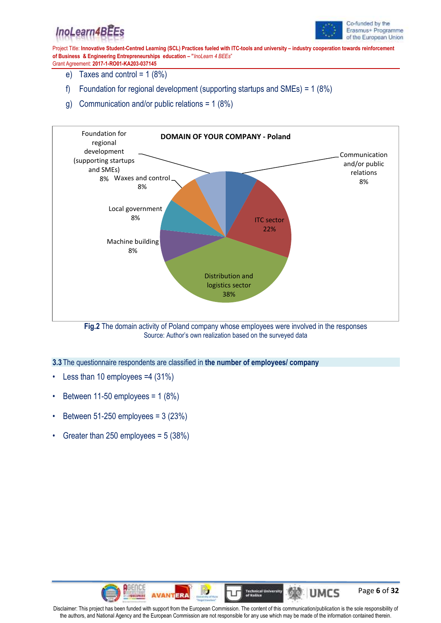



Page **6** of **32**

Project Title: **Innovative Student-Centred Learning (SCL) Practices fueled with ITC-tools and university – industry cooperation towards reinforcement of Business & Engineering Entrepreneurships education – "***InoLearn 4 BEEs*" Grant Agreement: **2017-1-RO01-KA203-037145**

- e) Taxes and control =  $1(8%)$
- f) Foundation for regional development (supporting startups and SMEs) = 1 (8%)
- g) Communication and/or public relations = 1 (8%)



**Fig.2** The domain activity of Poland company whose employees were involved in the responses Source: Author's own realization based on the surveyed data

**3.3** The questionnaire respondents are classified in **the number of employees/ company**

- Less than 10 employees =4 (31%)
- Between 11-50 employees =  $1(8%)$
- Between 51-250 employees =  $3(23%)$
- Greater than 250 employees = 5 (38%)

AGENCI

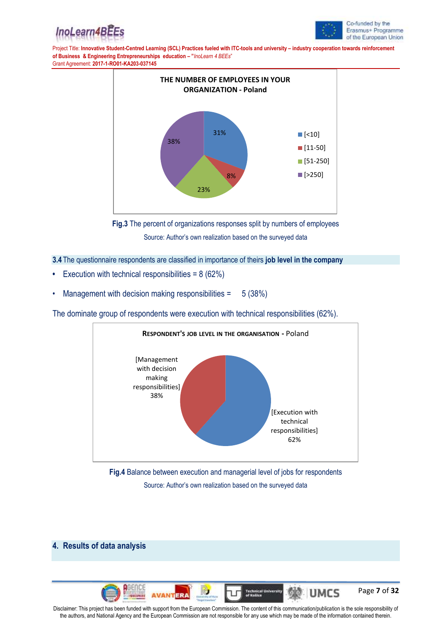



Page **7** of **32**

Project Title: **Innovative Student-Centred Learning (SCL) Practices fueled with ITC-tools and university – industry cooperation towards reinforcement of Business & Engineering Entrepreneurships education – "***InoLearn 4 BEEs*" Grant Agreement: **2017-1-RO01-KA203-037145**





#### **3.4** The questionnaire respondents are classified in importance of theirs **job level in the company**

- **•** Execution with technical responsibilities = 8 (62%)
- Management with decision making responsibilities  $=$  5 (38%)

The dominate group of respondents were execution with technical responsibilities (62%).



**Fig.4** Balance between execution and managerial level of jobs for respondents Source: Author's own realization based on the surveyed data

### **4. Results of data analysis**



Disclaimer: This project has been funded with support from the European Commission. The content of this communication/publication is the sole responsibility of the authors, and National Agency and the European Commission are not responsible for any use which may be made of the information contained therein.

613

**UMCS** 

Technical Univers<br>of Knšice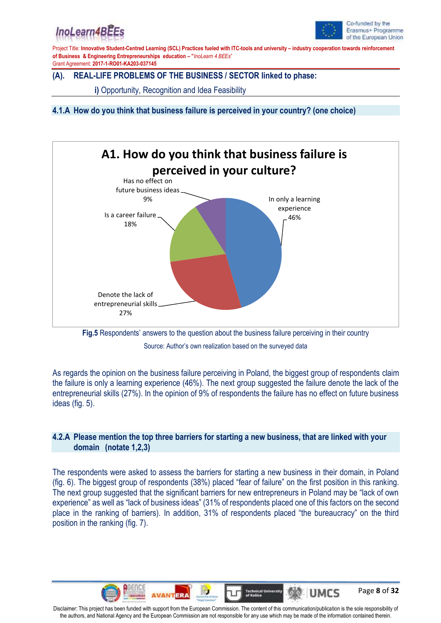## InoLearn4B



Page **8** of **32**

Project Title: **Innovative Student-Centred Learning (SCL) Practices fueled with ITC-tools and university – industry cooperation towards reinforcement of Business & Engineering Entrepreneurships education – "***InoLearn 4 BEEs*" Grant Agreement: **2017-1-RO01-KA203-037145**

## **(A). REAL-LIFE PROBLEMS OF THE BUSINESS / SECTOR linked to phase:**

**i)** Opportunity, Recognition and Idea Feasibility

**4.1.A How do you think that business failure is perceived in your country? (one choice)**





As regards the opinion on the business failure perceiving in Poland, the biggest group of respondents claim the failure is only a learning experience (46%). The next group suggested the failure denote the lack of the entrepreneurial skills (27%). In the opinion of 9% of respondents the failure has no effect on future business ideas (fig. 5).

## **4.2.A Please mention the top three barriers for starting a new business, that are linked with your domain (notate 1,2,3)**

The respondents were asked to assess the barriers for starting a new business in their domain, in Poland (fig. 6). The biggest group of respondents (38%) placed "fear of failure" on the first position in this ranking. The next group suggested that the significant barriers for new entrepreneurs in Poland may be "lack of own experience" as well as "lack of business ideas" (31% of respondents placed one of this factors on the second place in the ranking of barriers). In addition, 31% of respondents placed "the bureaucracy" on the third position in the ranking (fig. 7).



**AVANTERA** 

613

**UMCS** 

**Technical University**<br>of Knšice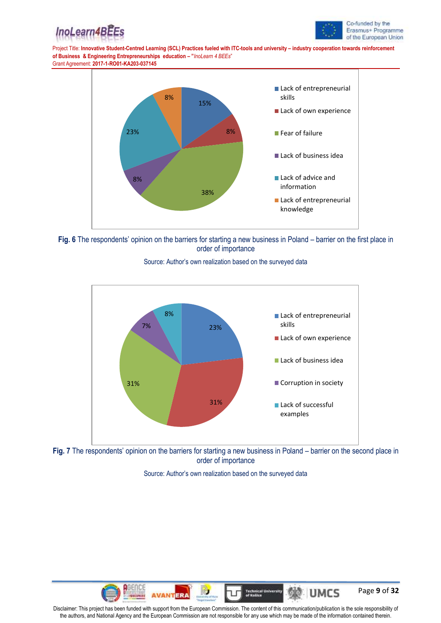





**Fig. 6** The respondents' opinion on the barriers for starting a new business in Poland – barrier on the first place in order of importance



Source: Author's own realization based on the surveyed data



Source: Author's own realization based on the surveyed data

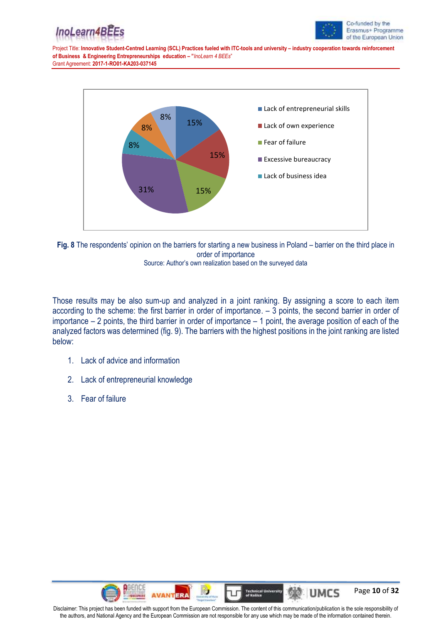





**Fig. 8** The respondents' opinion on the barriers for starting a new business in Poland – barrier on the third place in order of importance Source: Author's own realization based on the surveyed data

Those results may be also sum-up and analyzed in a joint ranking. By assigning a score to each item according to the scheme: the first barrier in order of importance. – 3 points, the second barrier in order of importance – 2 points, the third barrier in order of importance – 1 point, the average position of each of the analyzed factors was determined (fig. 9). The barriers with the highest positions in the joint ranking are listed below:

- 1. Lack of advice and information
- 2. Lack of entrepreneurial knowledge
- 3. Fear of failure

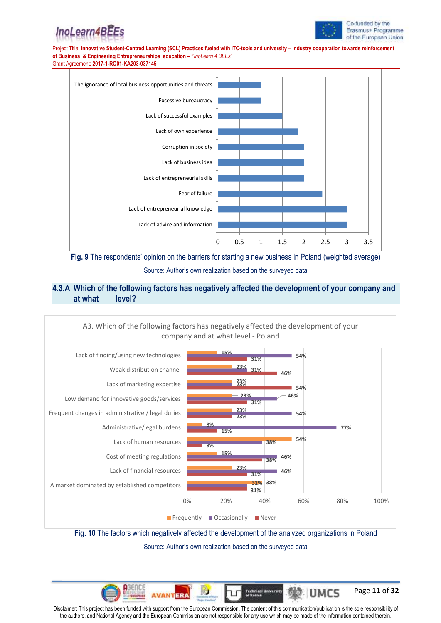



Page **11** of **32**

Project Title: **Innovative Student-Centred Learning (SCL) Practices fueled with ITC-tools and university – industry cooperation towards reinforcement of Business & Engineering Entrepreneurships education – "***InoLearn 4 BEEs*" Grant Agreement: **2017-1-RO01-KA203-037145**





## **4.3.A Which of the following factors has negatively affected the development of your company and at what level?**



**Fig. 10** The factors which negatively affected the development of the analyzed organizations in Poland Source: Author's own realization based on the surveyed data

Disclaimer: This project has been funded with support from the European Commission. The content of this communication/publication is the sole responsibility of the authors, and National Agency and the European Commission are not responsible for any use which may be made of the information contained therein.

**AVAN1** 

Technical Un<br>of Knšice

ala

**UMCS**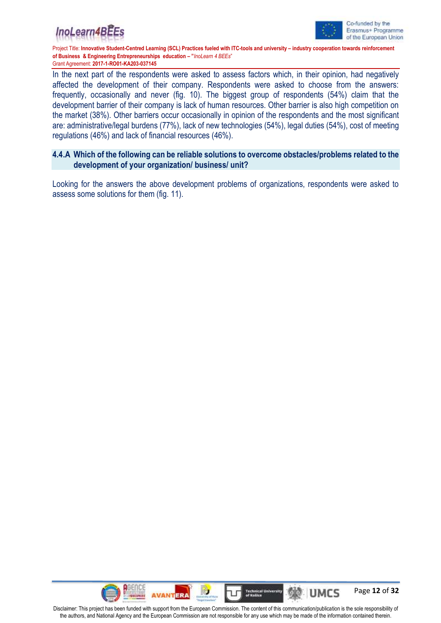



In the next part of the respondents were asked to assess factors which, in their opinion, had negatively affected the development of their company. Respondents were asked to choose from the answers: frequently, occasionally and never (fig. 10). The biggest group of respondents (54%) claim that the development barrier of their company is lack of human resources. Other barrier is also high competition on the market (38%). Other barriers occur occasionally in opinion of the respondents and the most significant are: administrative/legal burdens (77%), lack of new technologies (54%), legal duties (54%), cost of meeting regulations (46%) and lack of financial resources (46%).

## **4.4.A Which of the following can be reliable solutions to overcome obstacles/problems related to the development of your organization/ business/ unit?**

Looking for the answers the above development problems of organizations, respondents were asked to assess some solutions for them (fig. 11).

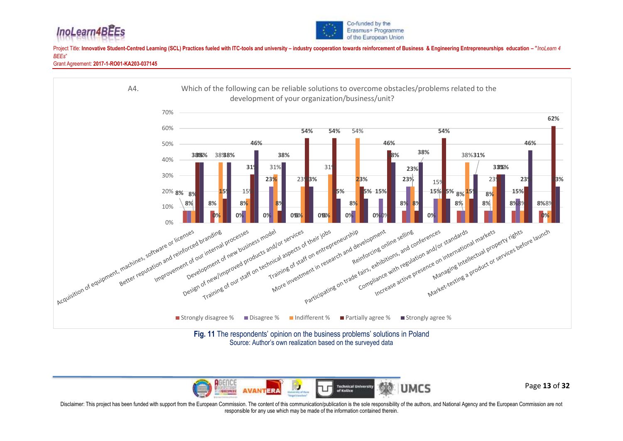





Source: Author's own realization based on the surveyed data



Page **13** of **32**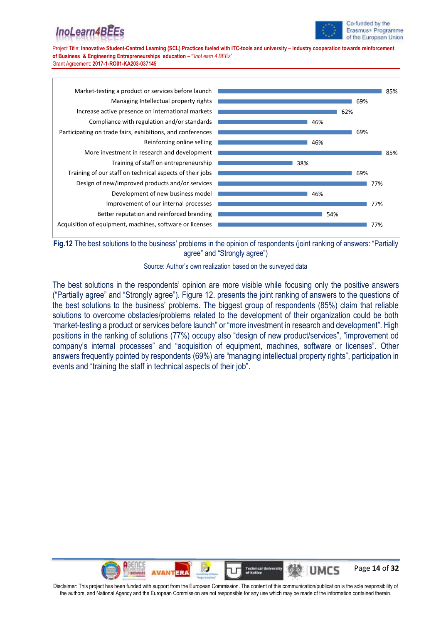# InoLearn4BE



Project Title: **Innovative Student-Centred Learning (SCL) Practices fueled with ITC-tools and university – industry cooperation towards reinforcement of Business & Engineering Entrepreneurships education – "***InoLearn 4 BEEs*" Grant Agreement: **2017-1-RO01-KA203-037145**



**Fig.12** The best solutions to the business' problems in the opinion of respondents (joint ranking of answers: "Partially agree" and "Strongly agree")



The best solutions in the respondents' opinion are more visible while focusing only the positive answers ("Partially agree" and "Strongly agree"). Figure 12. presents the joint ranking of answers to the questions of the best solutions to the business' problems. The biggest group of respondents (85%) claim that reliable solutions to overcome obstacles/problems related to the development of their organization could be both "market-testing a product or services before launch" or "more investment in research and development". High positions in the ranking of solutions (77%) occupy also "design of new product/services", "improvement od company's internal processes" and "acquisition of equipment, machines, software or licenses". Other answers frequently pointed by respondents (69%) are "managing intellectual property rights", participation in events and "training the staff in technical aspects of their job".

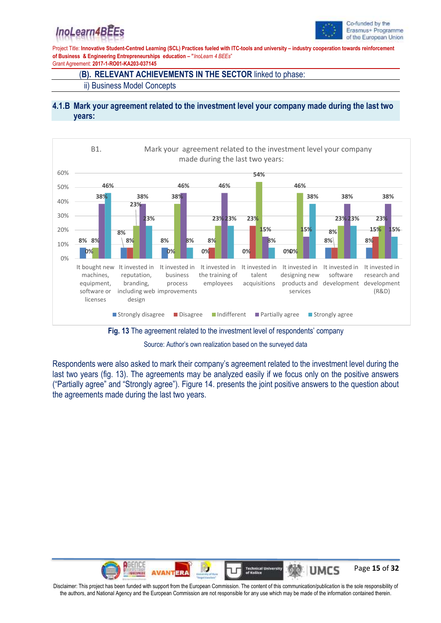## InoLearn4BEEs



Project Title: **Innovative Student-Centred Learning (SCL) Practices fueled with ITC-tools and university – industry cooperation towards reinforcement of Business & Engineering Entrepreneurships education – "***InoLearn 4 BEEs*"

Grant Agreement: **2017-1-RO01-KA203-037145**

### (**B). RELEVANT ACHIEVEMENTS IN THE SECTOR** linked to phase:

ii) Business Model Concepts

### **4.1.B Mark your agreement related to the investment level your company made during the last two years:**



**Fig. 13** The agreement related to the investment level of respondents' company

Source: Author's own realization based on the surveyed data

Respondents were also asked to mark their company's agreement related to the investment level during the last two years (fig. 13). The agreements may be analyzed easily if we focus only on the positive answers ("Partially agree" and "Strongly agree"). Figure 14. presents the joint positive answers to the question about the agreements made during the last two years.

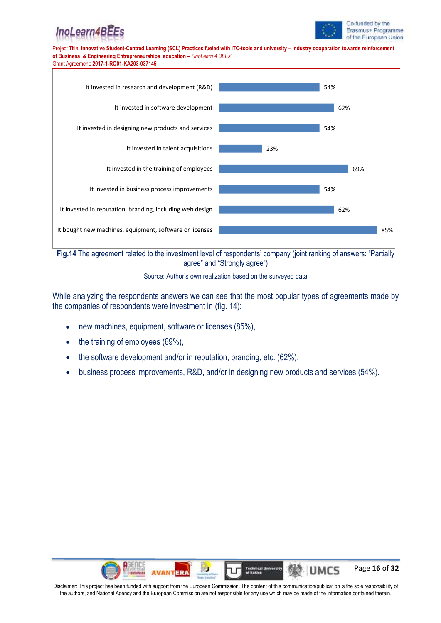





**Fig.14** The agreement related to the investment level of respondents' company (joint ranking of answers: "Partially agree" and "Strongly agree")



While analyzing the respondents answers we can see that the most popular types of agreements made by the companies of respondents were investment in (fig. 14):

- new machines, equipment, software or licenses (85%),
- the training of employees (69%),
- the software development and/or in reputation, branding, etc. (62%),
- business process improvements, R&D, and/or in designing new products and services (54%).

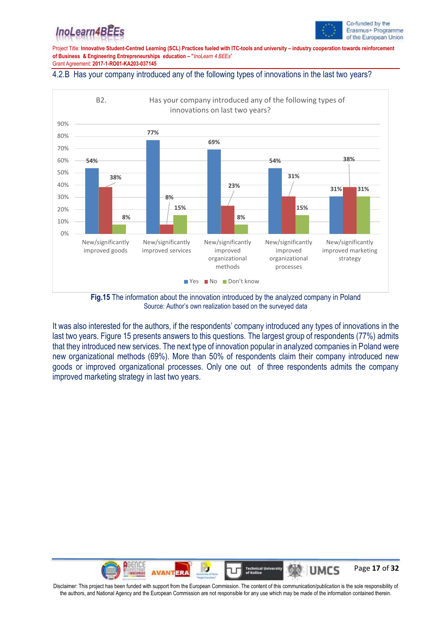## InoLearn4BE



Project Title: **Innovative Student-Centred Learning (SCL) Practices fueled with ITC-tools and university – industry cooperation towards reinforcement of Business & Engineering Entrepreneurships education – "***InoLearn 4 BEEs*" Grant Agreement: **2017-1-RO01-KA203-037145**

#### 4.2.B Has your company introduced any of the following types of innovations in the last two years?



**Fig.15** The information about the innovation introduced by the analyzed company in Poland Source: Author's own realization based on the surveyed data

It was also interested for the authors, if the respondents' company introduced any types of innovations in the last two years. Figure 15 presents answers to this questions. The largest group of respondents (77%) admits that they introduced new services. The next type of innovation popular in analyzed companies in Poland were new organizational methods (69%). More than 50% of respondents claim their company introduced new goods or improved organizational processes. Only one out of three respondents admits the company improved marketing strategy in last two years.

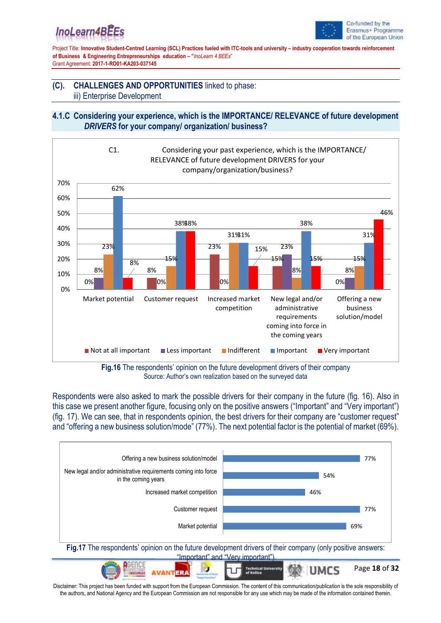## InoLearn4BE



Project Title: **Innovative Student-Centred Learning (SCL) Practices fueled with ITC-tools and university – industry cooperation towards reinforcement of Business & Engineering Entrepreneurships education – "***InoLearn 4 BEEs*" Grant Agreement: **2017-1-RO01-KA203-037145**

## **(C). CHALLENGES AND OPPORTUNITIES** linked to phase: iii) Enterprise Development

## **4.1.C Considering your experience, which is the IMPORTANCE/ RELEVANCE of future development**  *DRIVERS* **for your company/ organization/ business?**



**Fig.16** The respondents' opinion on the future development drivers of their company Source: Author's own realization based on the surveyed data

Respondents were also asked to mark the possible drivers for their company in the future (fig. 16). Also in this case we present another figure, focusing only on the positive answers ("Important" and "Very important") (fig. 17). We can see, that in respondents opinion, the best drivers for their company are "customer request" and "offering a new business solution/mode" (77%). The next potential factor is the potential of market (69%).

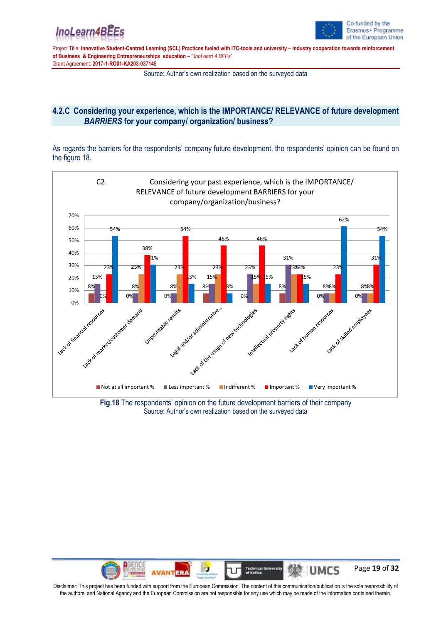



Source: Author's own realization based on the surveyed data

## **4.2.C Considering your experience, which is the IMPORTANCE/ RELEVANCE of future development**  *BARRIERS* **for your company/ organization/ business?**

As regards the barriers for the respondents' company future development, the respondents' opinion can be found on the figure 18.



**Fig.18** The respondents' opinion on the future development barriers of their company Source: Author's own realization based on the surveyed data

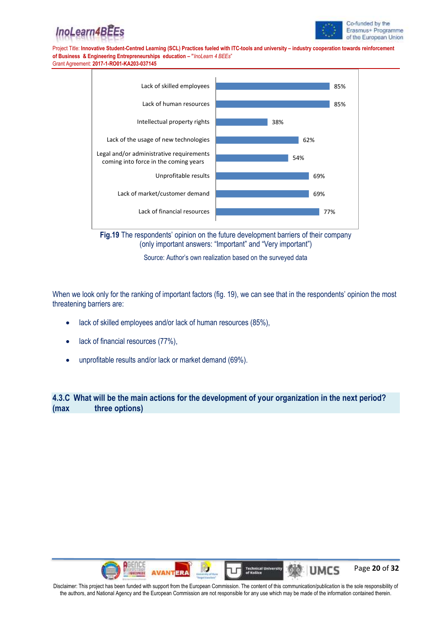





**Fig.19** The respondents' opinion on the future development barriers of their company (only important answers: "Important" and "Very important")

Source: Author's own realization based on the surveyed data

When we look only for the ranking of important factors (fig. 19), we can see that in the respondents' opinion the most threatening barriers are:

- lack of skilled employees and/or lack of human resources (85%),
- lack of financial resources (77%),
- unprofitable results and/or lack or market demand (69%).

**4.3.C What will be the main actions for the development of your organization in the next period? (max three options)**

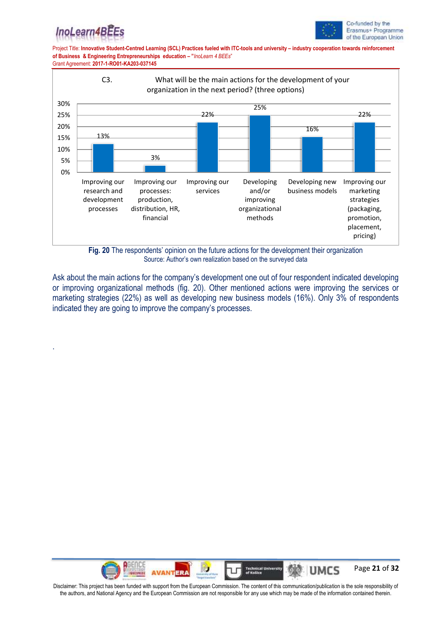

.



Project Title: **Innovative Student-Centred Learning (SCL) Practices fueled with ITC-tools and university – industry cooperation towards reinforcement of Business & Engineering Entrepreneurships education – "***InoLearn 4 BEEs*" Grant Agreement: **2017-1-RO01-KA203-037145**



**Fig. 20** The respondents' opinion on the future actions for the development their organization Source: Author's own realization based on the surveyed data

Ask about the main actions for the company's development one out of four respondent indicated developing or improving organizational methods (fig. 20). Other mentioned actions were improving the services or marketing strategies (22%) as well as developing new business models (16%). Only 3% of respondents indicated they are going to improve the company's processes.

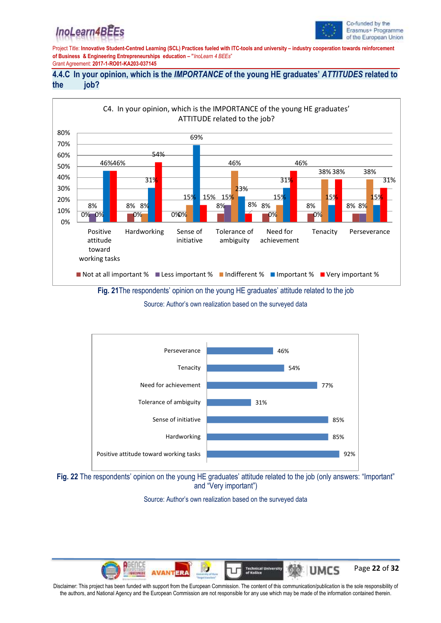## InoLearn4BE



Project Title: **Innovative Student-Centred Learning (SCL) Practices fueled with ITC-tools and university – industry cooperation towards reinforcement of Business & Engineering Entrepreneurships education – "***InoLearn 4 BEEs*" Grant Agreement: **2017-1-RO01-KA203-037145**

## **4.4.C In your opinion, which is the** *IMPORTANCE* **of the young HE graduates'** *ATTITUDES* **related to the job?**



Source: Author's own realization based on the surveyed data





Source: Author's own realization based on the surveyed data

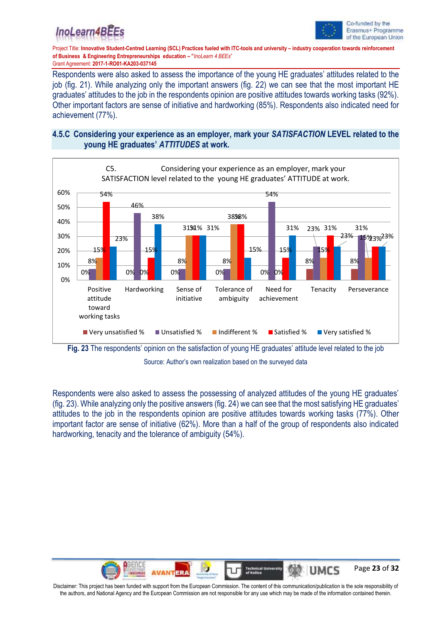



Respondents were also asked to assess the importance of the young HE graduates' attitudes related to the job (fig. 21). While analyzing only the important answers (fig. 22) we can see that the most important HE graduates' attitudes to the job in the respondents opinion are positive attitudes towards working tasks (92%). Other important factors are sense of initiative and hardworking (85%). Respondents also indicated need for achievement (77%).

## **4.5.C Considering your experience as an employer, mark your** *SATISFACTION* **LEVEL related to the young HE graduates'** *ATTITUDES* **at work.**



Source: Author's own realization based on the surveyed data

Respondents were also asked to assess the possessing of analyzed attitudes of the young HE graduates' (fig. 23). While analyzing only the positive answers (fig. 24) we can see that the most satisfying HE graduates' attitudes to the job in the respondents opinion are positive attitudes towards working tasks (77%). Other important factor are sense of initiative (62%). More than a half of the group of respondents also indicated hardworking, tenacity and the tolerance of ambiguity (54%).

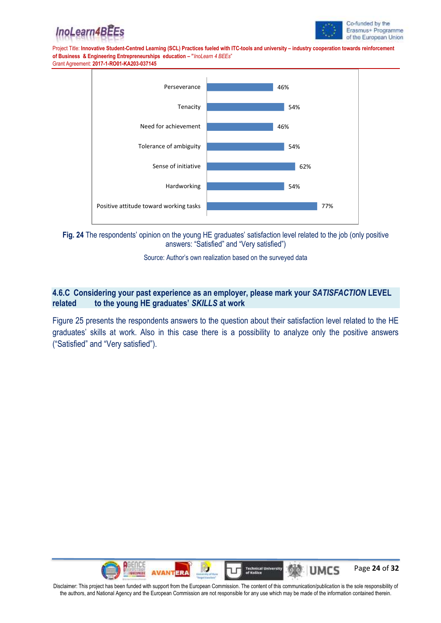







Source: Author's own realization based on the surveyed data

## **4.6.C Considering your past experience as an employer, please mark your** *SATISFACTION* **LEVEL related to the young HE graduates'** *SKILLS* **at work**

Figure 25 presents the respondents answers to the question about their satisfaction level related to the HE graduates' skills at work. Also in this case there is a possibility to analyze only the positive answers ("Satisfied" and "Very satisfied").

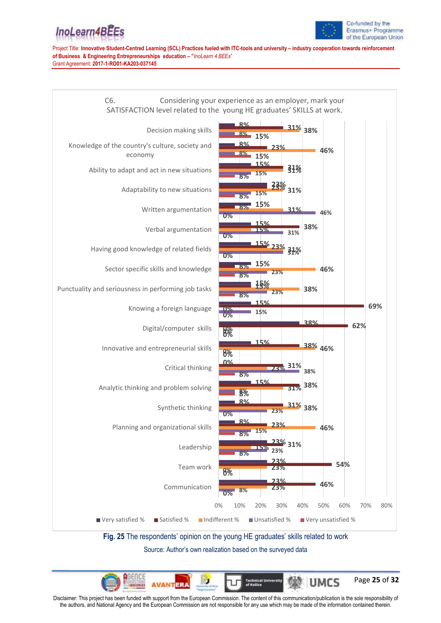## InoLearn4BEEs



Project Title: **Innovative Student-Centred Learning (SCL) Practices fueled with ITC-tools and university – industry cooperation towards reinforcement of Business & Engineering Entrepreneurships education – "***InoLearn 4 BEEs*"

Grant Agreement: **2017-1-RO01-KA203-037145**



Source: Author's own realization based on the surveyed data

Page **25** of **32** UMCS

Disclaimer: This project has been funded with support from the European Commission. The content of this communication/publication is the sole responsibility of the authors, and National Agency and the European Commission are not responsible for any use which may be made of the information contained therein.

**ERA** 

**Technical U**<br>of Kušice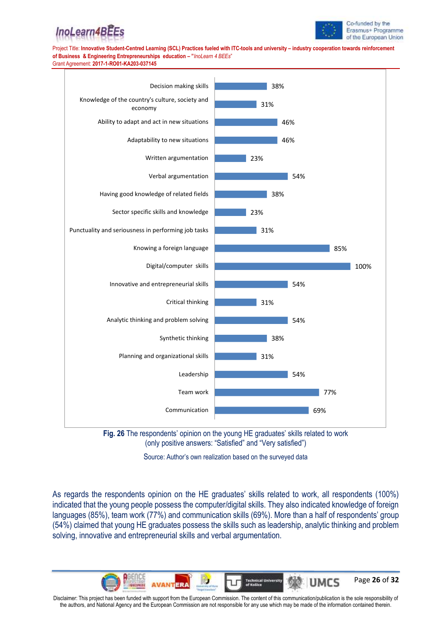







Source: Author's own realization based on the surveyed data

As regards the respondents opinion on the HE graduates' skills related to work, all respondents (100%) indicated that the young people possess the computer/digital skills. They also indicated knowledge of foreign languages (85%), team work (77%) and communication skills (69%). More than a half of respondents' group (54%) claimed that young HE graduates possess the skills such as leadership, analytic thinking and problem solving, innovative and entrepreneurial skills and verbal argumentation.

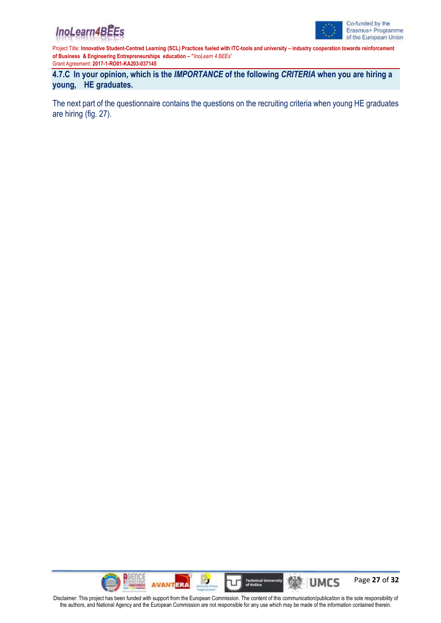



**4.7.C In your opinion, which is the** *IMPORTANCE* **of the following** *CRITERIA* **when you are hiring a young, HE graduates.**

The next part of the questionnaire contains the questions on the recruiting criteria when young HE graduates are hiring (fig. 27).

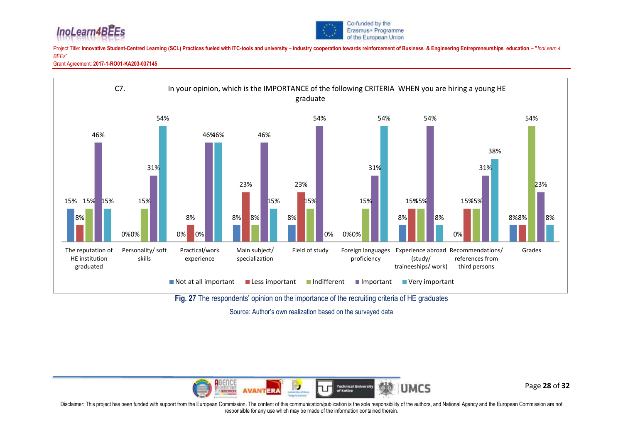





Source: Author's own realization based on the surveyed data



Page **28** of **32**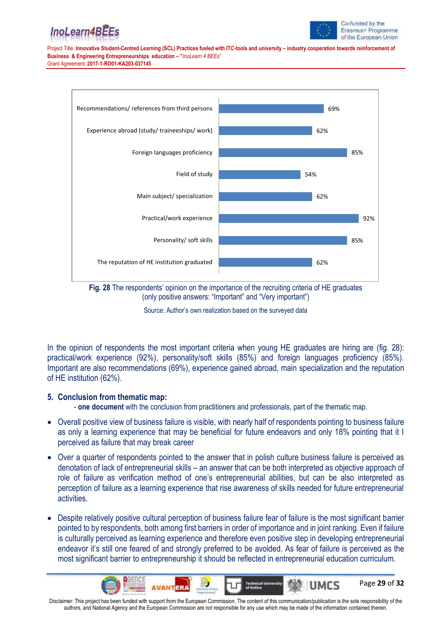



Page **29** of **32**

UMCS

Project Title: **Innovative Student-Centred Learning (SCL) Practices fueled with ITC-tools and university – industry cooperation towards reinforcement of Business & Engineering Entrepreneurships education – "***InoLearn 4 BEEs*" Grant Agreement: **2017-1-RO01-KA203-037145**



**Fig. 28** The respondents' opinion on the importance of the recruiting criteria of HE graduates (only positive answers: "Important" and "Very important")

Source: Author's own realization based on the surveyed data

In the opinion of respondents the most important criteria when young HE graduates are hiring are (fig. 28): practical/work experience (92%), personality/soft skills (85%) and foreign languages proficiency (85%). Important are also recommendations (69%), experience gained abroad, main specialization and the reputation of HE institution (62%).

### **5. Conclusion from thematic map:**

- **one document** with the conclusion from practitioners and professionals, part of the thematic map.

- Overall positive view of business failure is visible, with nearly half of respondents pointing to business failure as only a learning experience that may be beneficial for future endeavors and only 18% pointing that it I perceived as failure that may break career
- Over a quarter of respondents pointed to the answer that in polish culture business failure is perceived as denotation of lack of entrepreneurial skills – an answer that can be both interpreted as objective approach of role of failure as verification method of one's entrepreneurial abilities, but can be also interpreted as perception of failure as a learning experience that rise awareness of skills needed for future entrepreneurial activities.
- Despite relatively positive cultural perception of business failure fear of failure is the most significant barrier pointed to by respondents, both among first barriers in order of importance and in joint ranking. Even if failure is culturally perceived as learning experience and therefore even positive step in developing entrepreneurial endeavor it's still one feared of and strongly preferred to be avoided. As fear of failure is perceived as the most significant barrier to entrepreneurship it should be reflected in entrepreneurial education curriculum.

Disclaimer: This project has been funded with support from the European Commission. The content of this communication/publication is the sole responsibility of the authors, and National Agency and the European Commission are not responsible for any use which may be made of the information contained therein.

**Technical Un**<br>of Košice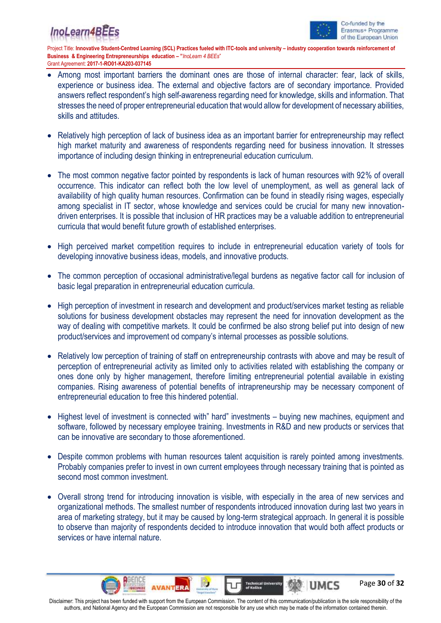



Page **30** of **32**

Project Title: **Innovative Student-Centred Learning (SCL) Practices fueled with ITC-tools and university – industry cooperation towards reinforcement of Business & Engineering Entrepreneurships education – "***InoLearn 4 BEEs*" Grant Agreement: **2017-1-RO01-KA203-037145**

- Among most important barriers the dominant ones are those of internal character: fear, lack of skills, experience or business idea. The external and objective factors are of secondary importance. Provided answers reflect respondent's high self-awareness regarding need for knowledge, skills and information. That stresses the need of proper entrepreneurial education that would allow for development of necessary abilities, skills and attitudes.
- Relatively high perception of lack of business idea as an important barrier for entrepreneurship may reflect high market maturity and awareness of respondents regarding need for business innovation. It stresses importance of including design thinking in entrepreneurial education curriculum.
- The most common negative factor pointed by respondents is lack of human resources with 92% of overall occurrence. This indicator can reflect both the low level of unemployment, as well as general lack of availability of high quality human resources. Confirmation can be found in steadily rising wages, especially among specialist in IT sector, whose knowledge and services could be crucial for many new innovationdriven enterprises. It is possible that inclusion of HR practices may be a valuable addition to entrepreneurial curricula that would benefit future growth of established enterprises.
- High perceived market competition requires to include in entrepreneurial education variety of tools for developing innovative business ideas, models, and innovative products.
- The common perception of occasional administrative/legal burdens as negative factor call for inclusion of basic legal preparation in entrepreneurial education curricula.
- High perception of investment in research and development and product/services market testing as reliable solutions for business development obstacles may represent the need for innovation development as the way of dealing with competitive markets. It could be confirmed be also strong belief put into design of new product/services and improvement od company's internal processes as possible solutions.
- Relatively low perception of training of staff on entrepreneurship contrasts with above and may be result of perception of entrepreneurial activity as limited only to activities related with establishing the company or ones done only by higher management, therefore limiting entrepreneurial potential available in existing companies. Rising awareness of potential benefits of intrapreneurship may be necessary component of entrepreneurial education to free this hindered potential.
- Highest level of investment is connected with" hard" investments buying new machines, equipment and software, followed by necessary employee training. Investments in R&D and new products or services that can be innovative are secondary to those aforementioned.
- Despite common problems with human resources talent acquisition is rarely pointed among investments. Probably companies prefer to invest in own current employees through necessary training that is pointed as second most common investment.
- Overall strong trend for introducing innovation is visible, with especially in the area of new services and organizational methods. The smallest number of respondents introduced innovation during last two years in area of marketing strategy, but it may be caused by long-term strategical approach. In general it is possible to observe than majority of respondents decided to introduce innovation that would both affect products or services or have internal nature.

Disclaimer: This project has been funded with support from the European Commission. The content of this communication/publication is the sole responsibility of the authors, and National Agency and the European Commission are not responsible for any use which may be made of the information contained therein.

**AVANTERA** 

**Technical Un**<br>of Košice

WA UMCS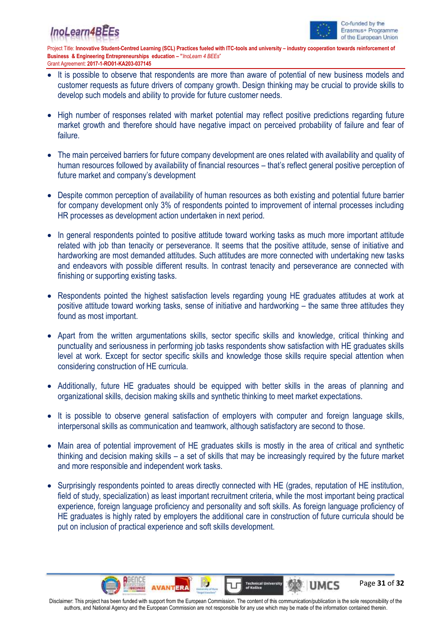## InoLearn4B



Page **31** of **32**

Project Title: **Innovative Student-Centred Learning (SCL) Practices fueled with ITC-tools and university – industry cooperation towards reinforcement of Business & Engineering Entrepreneurships education – "***InoLearn 4 BEEs*" Grant Agreement: **2017-1-RO01-KA203-037145**

- It is possible to observe that respondents are more than aware of potential of new business models and customer requests as future drivers of company growth. Design thinking may be crucial to provide skills to develop such models and ability to provide for future customer needs.
- High number of responses related with market potential may reflect positive predictions regarding future market growth and therefore should have negative impact on perceived probability of failure and fear of failure.
- The main perceived barriers for future company development are ones related with availability and quality of human resources followed by availability of financial resources – that's reflect general positive perception of future market and company's development
- Despite common perception of availability of human resources as both existing and potential future barrier for company development only 3% of respondents pointed to improvement of internal processes including HR processes as development action undertaken in next period.
- In general respondents pointed to positive attitude toward working tasks as much more important attitude related with job than tenacity or perseverance. It seems that the positive attitude, sense of initiative and hardworking are most demanded attitudes. Such attitudes are more connected with undertaking new tasks and endeavors with possible different results. In contrast tenacity and perseverance are connected with finishing or supporting existing tasks.
- Respondents pointed the highest satisfaction levels regarding young HE graduates attitudes at work at positive attitude toward working tasks, sense of initiative and hardworking – the same three attitudes they found as most important.
- Apart from the written argumentations skills, sector specific skills and knowledge, critical thinking and punctuality and seriousness in performing job tasks respondents show satisfaction with HE graduates skills level at work. Except for sector specific skills and knowledge those skills require special attention when considering construction of HE curricula.
- Additionally, future HE graduates should be equipped with better skills in the areas of planning and organizational skills, decision making skills and synthetic thinking to meet market expectations.
- It is possible to observe general satisfaction of employers with computer and foreign language skills, interpersonal skills as communication and teamwork, although satisfactory are second to those.
- Main area of potential improvement of HE graduates skills is mostly in the area of critical and synthetic thinking and decision making skills – a set of skills that may be increasingly required by the future market and more responsible and independent work tasks.
- Surprisingly respondents pointed to areas directly connected with HE (grades, reputation of HE institution, field of study, specialization) as least important recruitment criteria, while the most important being practical experience, foreign language proficiency and personality and soft skills. As foreign language proficiency of HE graduates is highly rated by employers the additional care in construction of future curricula should be put on inclusion of practical experience and soft skills development.

Disclaimer: This project has been funded with support from the European Commission. The content of this communication/publication is the sole responsibility of the authors, and National Agency and the European Commission are not responsible for any use which may be made of the information contained therein.

**Technical Un**<br>of Košice

WA UMCS